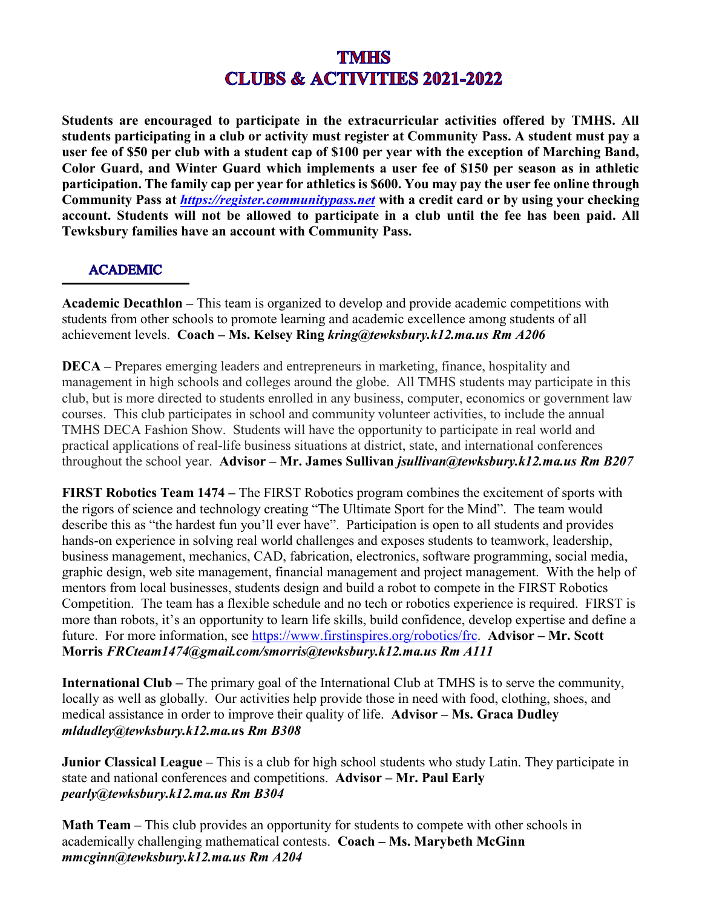**Students are encouraged to participate in the extracurricular activities offered by TMHS. All students participating in a club or activity must register at Community Pass. A student must pay a user fee of \$50 per club with a student cap of \$100 per year with the exception of Marching Band, Color Guard, and Winter Guard which implements a user fee of \$150 per season as in athletic participation. The family cap per year for athletics is \$600. You may pay the user fee online through Community Pass at** *[https://register.communitypass.net](https://register.communitypass.net/)* **with a credit card or by using your checking account. Students will not be allowed to participate in a club until the fee has been paid. All Tewksbury families have an account with Community Pass.** 

### **ACADEMIC**

**Academic Decathlon –** This team is organized to develop and provide academic competitions with students from other schools to promote learning and academic excellence among students of all achievement levels. **Coach – Ms. Kelsey Ring** *kring@tewksbury.k12.ma.us Rm A206*

**DECA –** Prepares emerging leaders and entrepreneurs in marketing, finance, hospitality and management in high schools and colleges around the globe. All TMHS students may participate in this club, but is more directed to students enrolled in any business, computer, economics or government law courses. This club participates in school and community volunteer activities, to include the annual TMHS DECA Fashion Show. Students will have the opportunity to participate in real world and practical applications of real-life business situations at district, state, and international conferences throughout the school year. **Advisor – Mr. James Sullivan** *jsullivan@tewksbury.k12.ma.us Rm B207*

**FIRST Robotics Team 1474 –** The FIRST Robotics program combines the excitement of sports with the rigors of science and technology creating "The Ultimate Sport for the Mind". The team would describe this as "the hardest fun you'll ever have". Participation is open to all students and provides hands-on experience in solving real world challenges and exposes students to teamwork, leadership, business management, mechanics, CAD, fabrication, electronics, software programming, social media, graphic design, web site management, financial management and project management. With the help of mentors from local businesses, students design and build a robot to compete in the FIRST Robotics Competition. The team has a flexible schedule and no tech or robotics experience is required. FIRST is more than robots, it's an opportunity to learn life skills, build confidence, develop expertise and define a future. For more information, see [https://www.firstinspires.org/robotics/frc.](https://www.firstinspires.org/robotics/frc) **Advisor – Mr. Scott Morris** *FRCteam1474@gmail.com/smorris@tewksbury.k12.ma.us Rm A111*

**International Club –** The primary goal of the International Club at TMHS is to serve the community, locally as well as globally. Our activities help provide those in need with food, clothing, shoes, and medical assistance in order to improve their quality of life. **Advisor – Ms. Graca Dudley**  *mldudley@tewksbury.k12.ma.u***s** *Rm B308*

**Junior Classical League –** This is a club for high school students who study Latin. They participate in state and national conferences and competitions. **Advisor – Mr. Paul Early** *pearly@tewksbury.k12.ma.us Rm B304*

**Math Team –** This club provides an opportunity for students to compete with other schools in academically challenging mathematical contests. **Coach – Ms. Marybeth McGinn**  *mmcginn@tewksbury.k12.ma.us Rm A204*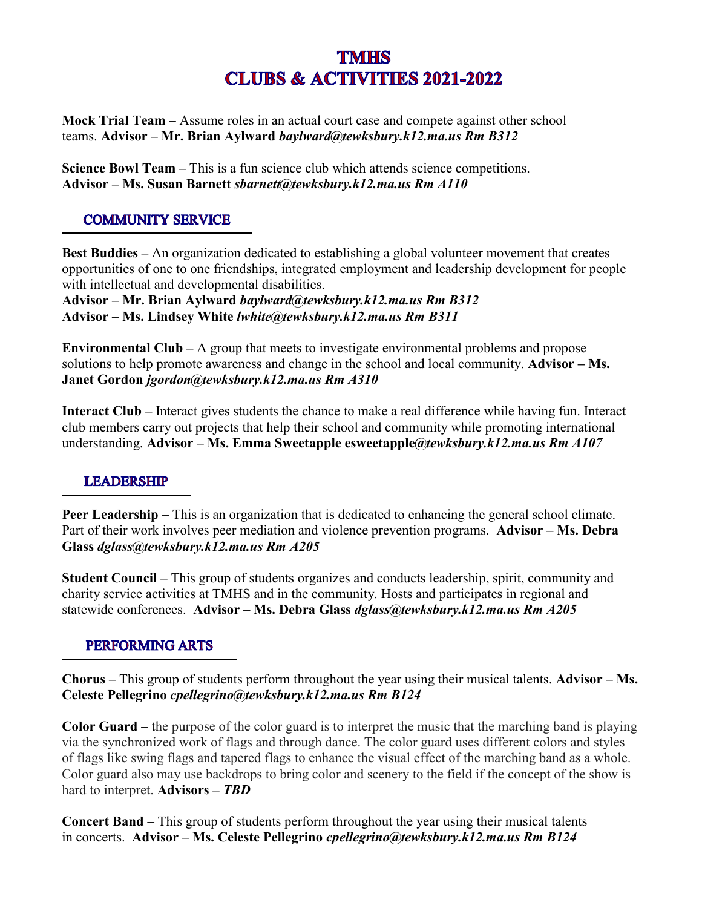**[Mock Trial Team](https://docs.google.com/presentation/d/1Mo3CouVqfP-MqMYIBKgA9qBNMjX0B1hTI0uc5ZSdeKA/edit?ts=570aa70d#slide=id.p) –** Assume roles in an actual court case and compete against other school teams. **Advisor – Mr. Brian Aylward** *baylward@tewksbury.k12.ma.us Rm B312*

**Science Bowl Team –** This is a fun science club which attends science competitions. **Advisor – Ms. Susan Barnett** *sbarnett@tewksbury.k12.ma.us Rm A110*

#### **COMMUNITY SERVICE**

**Best Buddies –** An organization dedicated to establishing a global volunteer movement that creates opportunities of one to one friendships, integrated employment and leadership development for people with intellectual and developmental disabilities.

**Advisor – Mr. Brian Aylward** *baylward@tewksbury.k12.ma.us Rm B312* **Advisor – Ms. Lindsey White** *lwhite@tewksbury.k12.ma.us Rm B311*

**Environmental Club –** A group that meets to investigate environmental problems and propose solutions to help promote awareness and change in the school and local community. **Advisor – Ms. Janet Gordon** *jgordon@tewksbury.k12.ma.us Rm A310*

**Interact Club –** Interact gives students the chance to make a real difference while having fun. Interact club members carry out projects that help their school and community while promoting international understanding. **Advisor – Ms. Emma Sweetapple esweetapple***@tewksbury.k12.ma.us Rm A107*

#### **LEADERSHIP**

**Peer Leadership** – This is an organization that is dedicated to enhancing the general school climate. Part of their work involves peer mediation and violence prevention programs. **Advisor – Ms. Debra Glass** *dglass@tewksbury.k12.ma.us Rm A205*

**Student Council –** This group of students organizes and conducts leadership, spirit, community and charity service activities at TMHS and in the community. Hosts and participates in regional and statewide conferences. **Advisor – Ms. Debra Glass** *dglass@tewksbury.k12.ma.us Rm A205*

### **PERFORMING ARTS**

**[Chorus](https://docs.google.com/presentation/d/1UlT-C0tNkDQ7m31lRUaqoTfyAGyz5HjcBRlftGhySvU/edit?usp=sharing) –** This group of students perform throughout the year using their musical talents. **Advisor – Ms. Celeste Pellegrino** *cpellegrino@tewksbury.k12.ma.us Rm B124*

**Color Guard –** the purpose of the color guard is to interpret the music that the marching band is playing via the synchronized work of flags and through dance. The color guard uses different colors and styles of flags like swing flags and tapered flags to enhance the visual effect of the marching band as a whole. Color guard also may use backdrops to bring color and scenery to the field if the concept of the show is hard to interpret. **Advisors –** *TBD*

**Concert Band –** This group of students perform throughout the year using their musical talents in concerts. **Advisor – Ms. Celeste Pellegrino** *cpellegrino (a)tewksbury.k12.ma.us Rm B124*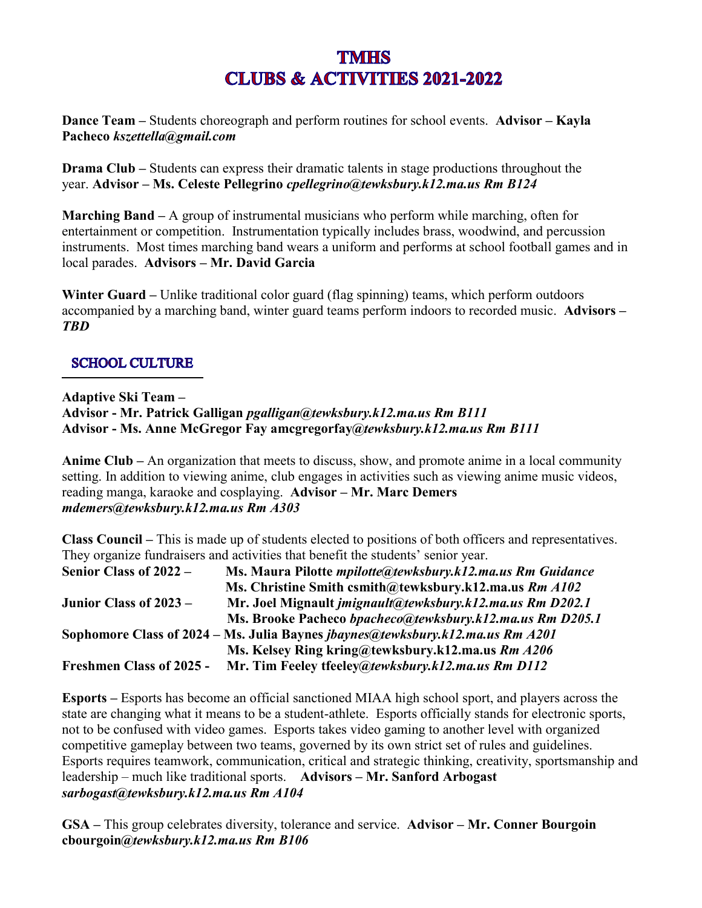**Dance Team –** Students choreograph and perform routines for school events. **Advisor – Kayla Pacheco** *kszettella@gmail.com*

**Drama Club** – Students can express their dramatic talents in stage productions throughout the year. **Advisor – Ms. Celeste Pellegrino** *cpellegrino@tewksbury.k12.ma.us Rm B124*

**Marching Band –** A group of instrumental musicians who perform while marching, often for entertainment or competition. Instrumentation typically includes brass, woodwind, and percussion instruments. Most times marching band wears a uniform and performs at school football games and in local parades. **Advisors – Mr. David Garcia**

**Winter Guard –** Unlike traditional [color guard \(flag spinning\)](https://en.wikipedia.org/wiki/Color_guard_(flag_spinning)) teams, which perform outdoors accompanied by a [marching band,](https://en.wikipedia.org/wiki/Marching_band) winter guard teams perform indoors to recorded music. **Advisors –** *TBD*

#### **SCHOOL CULTURE**

**Adaptive Ski Team – Advisor - Mr. Patrick Galligan** *pgalligan@tewksbury.k12.ma.us Rm B111* **Advisor - Ms. Anne McGregor Fay amcgregorfay***@tewksbury.k12.ma.us Rm B111*

**Anime Club –** An organization that meets to discuss, show, and promote anime in a local community setting. In addition to viewing anime, club engages in activities such as viewing anime music videos, reading manga, karaoke and cosplaying. **Advisor – Mr. Marc Demers** *mdemers@tewksbury.k12.ma.us Rm A303*

**Class Council –** This is made up of students elected to positions of both officers and representatives. They organize fundraisers and activities that benefit the students' senior year.

| Senior Class of 2022 –          | Ms. Maura Pilotte <i>mpilotte@tewksbury.k12.ma.us Rm Guidance</i>                     |
|---------------------------------|---------------------------------------------------------------------------------------|
|                                 | Ms. Christine Smith csmith@tewksbury.k12.ma.us Rm A102                                |
| Junior Class of 2023 –          | Mr. Joel Mignault <i>imignault@tewksbury.k12.ma.us Rm D202.1</i>                      |
|                                 | Ms. Brooke Pacheco bpacheco@tewksbury.k12.ma.us Rm D205.1                             |
|                                 | Sophomore Class of 2024 – Ms. Julia Baynes <i>jbaynes@tewksbury.k12.ma.us Rm A201</i> |
|                                 | Ms. Kelsey Ring kring@tewksbury.k12.ma.us Rm A206                                     |
| <b>Freshmen Class of 2025 -</b> | Mr. Tim Feeley tfeeley@tewksbury.k12.ma.us Rm D112                                    |

**Esports –** Esports has become an official sanctioned MIAA high school sport, and players across the state are changing what it means to be a student-athlete. Esports officially stands for electronic sports, not to be confused with video games. Esports takes video gaming to another level with organized competitive gameplay between two teams, governed by its own strict set of rules and guidelines. Esports requires teamwork, communication, critical and strategic thinking, creativity, sportsmanship and leadership – much like traditional sports. **Advisors – Mr. Sanford Arbogast**  *sarbogast@tewksbury.k12.ma.us Rm A104*

**GSA –** This group celebrates diversity, tolerance and service. **Advisor – Mr. Conner Bourgoin cbourgoin***@tewksbury.k12.ma.us Rm B106*